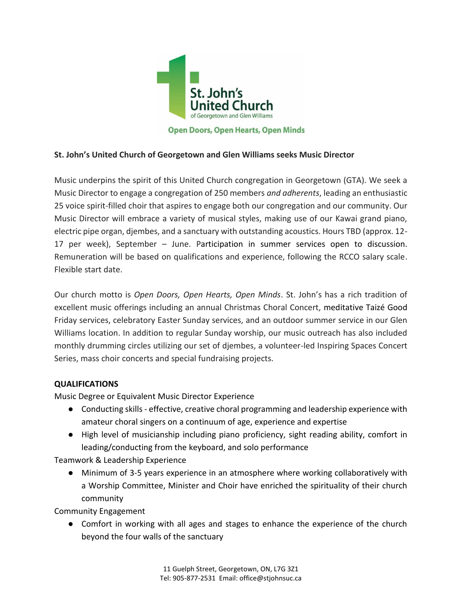

## **St. John's United Church of Georgetown and Glen Williams seeks Music Director**

Music underpins the spirit of this United Church congregation in Georgetown (GTA). We seek a Music Director to engage a congregation of 250 members *and adherents*, leading an enthusiastic 25 voice spirit-filled choir that aspires to engage both our congregation and our community. Our Music Director will embrace a variety of musical styles, making use of our Kawai grand piano, electric pipe organ, djembes, and a sanctuary with outstanding acoustics. Hours TBD (approx. 12- 17 per week), September – June. Participation in summer services open to discussion. Remuneration will be based on qualifications and experience, following the RCCO salary scale. Flexible start date.

Our church motto is *Open Doors, Open Hearts, Open Minds*. St. John's has a rich tradition of excellent music offerings including an annual Christmas Choral Concert, meditative Taizé Good Friday services, celebratory Easter Sunday services, and an outdoor summer service in our Glen Williams location. In addition to regular Sunday worship, our music outreach has also included monthly drumming circles utilizing our set of djembes, a volunteer-led Inspiring Spaces Concert Series, mass choir concerts and special fundraising projects.

## **QUALIFICATIONS**

Music Degree or Equivalent Music Director Experience

- Conducting skills effective, creative choral programming and leadership experience with amateur choral singers on a continuum of age, experience and expertise
- High level of musicianship including piano proficiency, sight reading ability, comfort in leading/conducting from the keyboard, and solo performance

Teamwork & Leadership Experience

● Minimum of 3-5 years experience in an atmosphere where working collaboratively with a Worship Committee, Minister and Choir have enriched the spirituality of their church community

Community Engagement

● Comfort in working with all ages and stages to enhance the experience of the church beyond the four walls of the sanctuary